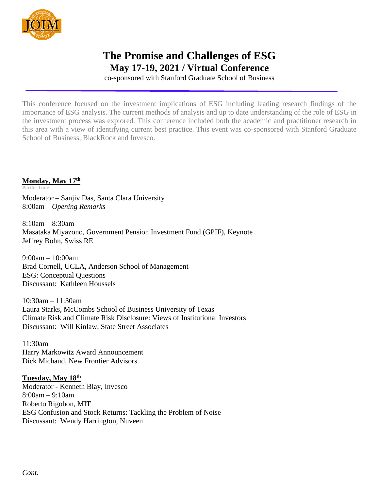

## **The Promise and Challenges of ESG May 17-19, 2021 / Virtual Conference**

co-sponsored with Stanford Graduate School of Business

This conference focused on the investment implications of ESG including leading research findings of the importance of ESG analysis. The current methods of analysis and up to date understanding of the role of ESG in the investment process was explored. This conference included both the academic and practitioner research in this area with a view of identifying current best practice. This event was co-sponsored with Stanford Graduate School of Business, BlackRock and Invesco.

**Monday, May 17th**

**Pacific Time**

Moderator – Sanjiv Das, Santa Clara University 8:00am – *Opening Remarks*

8:10am – 8:30am Masataka Miyazono, Government Pension Investment Fund (GPIF), Keynote Jeffrey Bohn, Swiss RE

9:00am – 10:00am Brad Cornell, UCLA, Anderson School of Management ESG: Conceptual Questions Discussant: Kathleen Houssels

10:30am – 11:30am Laura Starks, McCombs School of Business University of Texas Climate Risk and Climate Risk Disclosure: Views of Institutional Investors Discussant: Will Kinlaw, State Street Associates

11:30am Harry Markowitz Award Announcement Dick Michaud, New Frontier Advisors

## **Tuesday, May 18th**

Moderator - Kenneth Blay, Invesco 8:00am – 9:10am Roberto Rigobon, MIT ESG Confusion and Stock Returns: Tackling the Problem of Noise Discussant: Wendy Harrington, Nuveen